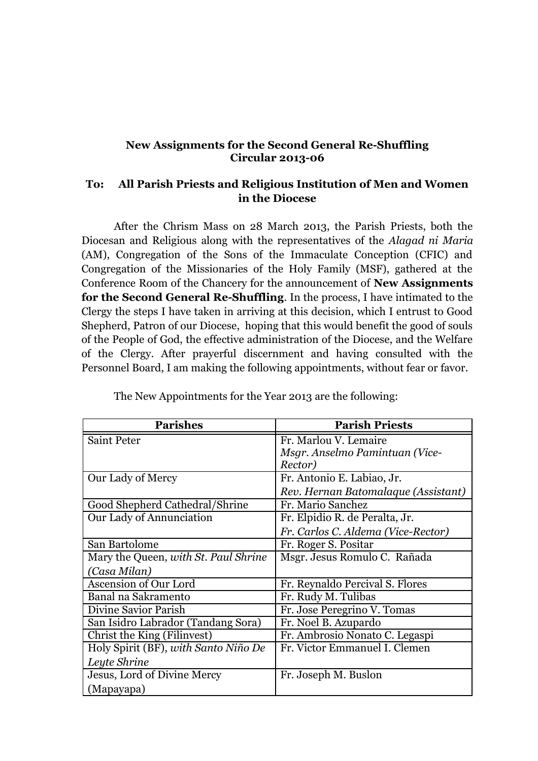## **New Assignments for the Second General Re-Shuffling Circular 2013-06**

## **To: All Parish Priests and Religious Institution of Men and Women in the Diocese**

After the Chrism Mass on 28 March 2013, the Parish Priests, both the Diocesan and Religious along with the representatives of the *Alagad ni Maria* (AM), Congregation of the Sons of the Immaculate Conception (CFIC) and Congregation of the Missionaries of the Holy Family (MSF), gathered at the Conference Room of the Chancery for the announcement of **New Assignments for the Second General Re-Shuffling**. In the process, I have intimated to the Clergy the steps I have taken in arriving at this decision, which I entrust to Good Shepherd, Patron of our Diocese, hoping that this would benefit the good of souls of the People of God, the effective administration of the Diocese, and the Welfare of the Clergy. After prayerful discernment and having consulted with the Personnel Board, I am making the following appointments, without fear or favor.

| <b>Parishes</b>                      | <b>Parish Priests</b>               |
|--------------------------------------|-------------------------------------|
| <b>Saint Peter</b>                   | Fr. Marlou V. Lemaire               |
|                                      | Msgr. Anselmo Pamintuan (Vice-      |
|                                      | Rector)                             |
| Our Lady of Mercy                    | Fr. Antonio E. Labiao, Jr.          |
|                                      | Rev. Hernan Batomalaque (Assistant) |
| Good Shepherd Cathedral/Shrine       | Fr. Mario Sanchez                   |
| Our Lady of Annunciation             | Fr. Elpidio R. de Peralta, Jr.      |
|                                      | Fr. Carlos C. Aldema (Vice-Rector)  |
| San Bartolome                        | Fr. Roger S. Positar                |
| Mary the Queen, with St. Paul Shrine | Msgr. Jesus Romulo C. Rañada        |
| (Casa Milan)                         |                                     |
| <b>Ascension of Our Lord</b>         | Fr. Reynaldo Percival S. Flores     |
| Banal na Sakramento                  | Fr. Rudy M. Tulibas                 |
| Divine Savior Parish                 | Fr. Jose Peregrino V. Tomas         |
| San Isidro Labrador (Tandang Sora)   | Fr. Noel B. Azupardo                |
| Christ the King (Filinvest)          | Fr. Ambrosio Nonato C. Legaspi      |
| Holy Spirit (BF), with Santo Niño De | Fr. Victor Emmanuel I. Clemen       |
| Leyte Shrine                         |                                     |
| Jesus, Lord of Divine Mercy          | Fr. Joseph M. Buslon                |
| (Mapayapa)                           |                                     |

The New Appointments for the Year 2013 are the following: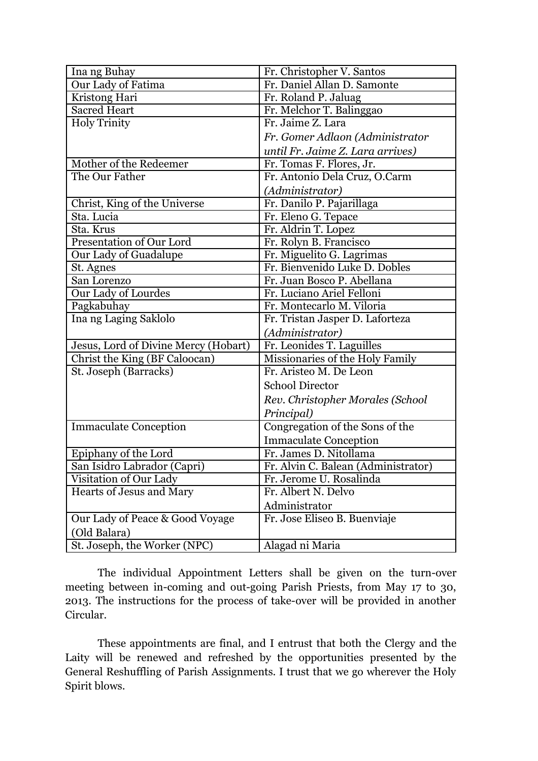| Ina ng Buhay                         | Fr. Christopher V. Santos           |
|--------------------------------------|-------------------------------------|
| Our Lady of Fatima                   | Fr. Daniel Allan D. Samonte         |
| Kristong Hari                        | Fr. Roland P. Jaluag                |
| <b>Sacred Heart</b>                  | Fr. Melchor T. Balinggao            |
| <b>Holy Trinity</b>                  | Fr. Jaime Z. Lara                   |
|                                      | Fr. Gomer Adlaon (Administrator     |
|                                      | until Fr. Jaime Z. Lara arrives)    |
| Mother of the Redeemer               | Fr. Tomas F. Flores, Jr.            |
| The Our Father                       | Fr. Antonio Dela Cruz, O.Carm       |
|                                      | (Administrator)                     |
| Christ, King of the Universe         | Fr. Danilo P. Pajarillaga           |
| Sta. Lucia                           | Fr. Eleno G. Tepace                 |
| Sta. Krus                            | Fr. Aldrin T. Lopez                 |
| Presentation of Our Lord             | Fr. Rolyn B. Francisco              |
| Our Lady of Guadalupe                | Fr. Miguelito G. Lagrimas           |
| St. Agnes                            | Fr. Bienvenido Luke D. Dobles       |
| San Lorenzo                          | Fr. Juan Bosco P. Abellana          |
| Our Lady of Lourdes                  | Fr. Luciano Ariel Felloni           |
| Pagkabuhay                           | Fr. Montecarlo M. Viloria           |
| Ina ng Laging Saklolo                | Fr. Tristan Jasper D. Laforteza     |
|                                      | (Administrator)                     |
| Jesus, Lord of Divine Mercy (Hobart) | Fr. Leonides T. Laguilles           |
| Christ the King (BF Caloocan)        | Missionaries of the Holy Family     |
| St. Joseph (Barracks)                | Fr. Aristeo M. De Leon              |
|                                      | <b>School Director</b>              |
|                                      | Rev. Christopher Morales (School    |
|                                      | Principal)                          |
| <b>Immaculate Conception</b>         | Congregation of the Sons of the     |
|                                      | <b>Immaculate Conception</b>        |
| Epiphany of the Lord                 | Fr. James D. Nitollama              |
| San Isidro Labrador (Capri)          | Fr. Alvin C. Balean (Administrator) |
| Visitation of Our Lady               | Fr. Jerome U. Rosalinda             |
| Hearts of Jesus and Mary             | Fr. Albert N. Delvo                 |
|                                      | Administrator                       |
| Our Lady of Peace & Good Voyage      | Fr. Jose Eliseo B. Buenviaje        |
| (Old Balara)                         |                                     |
| St. Joseph, the Worker (NPC)         | Alagad ni Maria                     |

The individual Appointment Letters shall be given on the turn-over meeting between in-coming and out-going Parish Priests, from May 17 to 30, 2013. The instructions for the process of take-over will be provided in another Circular.

These appointments are final, and I entrust that both the Clergy and the Laity will be renewed and refreshed by the opportunities presented by the General Reshuffling of Parish Assignments. I trust that we go wherever the Holy Spirit blows.